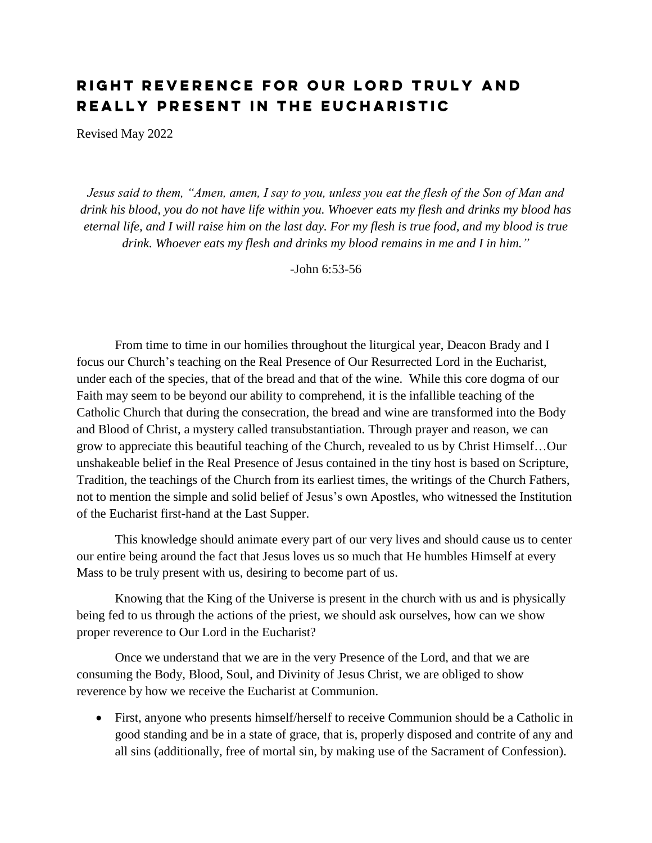## RIGHT REVERENCE FOR OUR LORD TRULY AND REALLY PRESENT IN THE EUCHARISTIC

Revised May 2022

*Jesus said to them, "Amen, amen, I say to you, unless you eat the flesh of the Son of Man and drink his blood, you do not have life within you. Whoever eats my flesh and drinks my blood has eternal life, and I will raise him on the last day. For my flesh is true food, and my blood is true drink. Whoever eats my flesh and drinks my blood remains in me and I in him."*

-John 6:53-56

From time to time in our homilies throughout the liturgical year, Deacon Brady and I focus our Church's teaching on the Real Presence of Our Resurrected Lord in the Eucharist, under each of the species, that of the bread and that of the wine. While this core dogma of our Faith may seem to be beyond our ability to comprehend, it is the infallible teaching of the Catholic Church that during the consecration, the bread and wine are transformed into the Body and Blood of Christ, a mystery called transubstantiation. Through prayer and reason, we can grow to appreciate this beautiful teaching of the Church, revealed to us by Christ Himself…Our unshakeable belief in the Real Presence of Jesus contained in the tiny host is based on Scripture, Tradition, the teachings of the Church from its earliest times, the writings of the Church Fathers, not to mention the simple and solid belief of Jesus's own Apostles, who witnessed the Institution of the Eucharist first-hand at the Last Supper.

This knowledge should animate every part of our very lives and should cause us to center our entire being around the fact that Jesus loves us so much that He humbles Himself at every Mass to be truly present with us, desiring to become part of us.

Knowing that the King of the Universe is present in the church with us and is physically being fed to us through the actions of the priest, we should ask ourselves, how can we show proper reverence to Our Lord in the Eucharist?

Once we understand that we are in the very Presence of the Lord, and that we are consuming the Body, Blood, Soul, and Divinity of Jesus Christ, we are obliged to show reverence by how we receive the Eucharist at Communion.

 First, anyone who presents himself/herself to receive Communion should be a Catholic in good standing and be in a state of grace, that is, properly disposed and contrite of any and all sins (additionally, free of mortal sin, by making use of the Sacrament of Confession).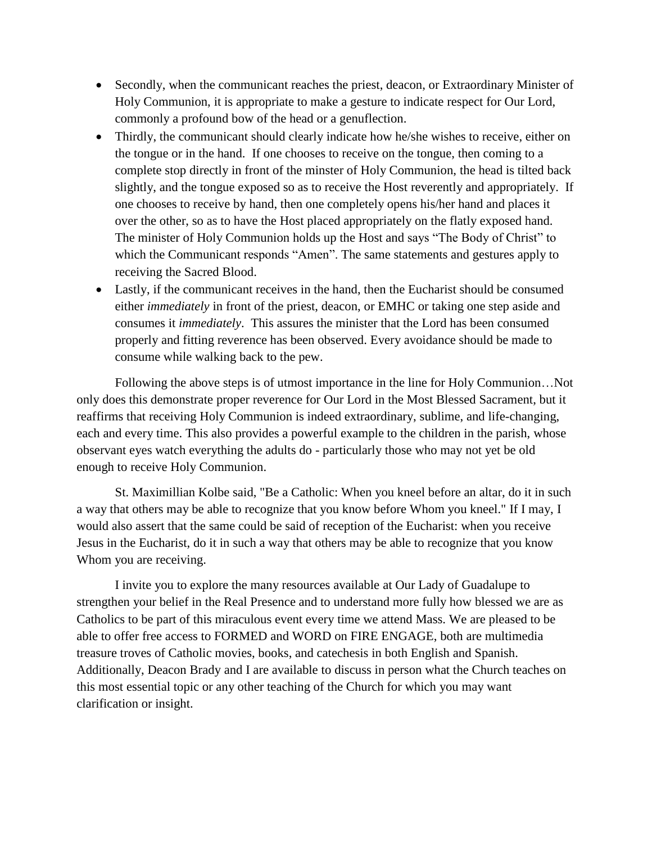- Secondly, when the communicant reaches the priest, deacon, or Extraordinary Minister of Holy Communion, it is appropriate to make a gesture to indicate respect for Our Lord, commonly a profound bow of the head or a genuflection.
- Thirdly, the communicant should clearly indicate how he/she wishes to receive, either on the tongue or in the hand. If one chooses to receive on the tongue, then coming to a complete stop directly in front of the minster of Holy Communion, the head is tilted back slightly, and the tongue exposed so as to receive the Host reverently and appropriately. If one chooses to receive by hand, then one completely opens his/her hand and places it over the other, so as to have the Host placed appropriately on the flatly exposed hand. The minister of Holy Communion holds up the Host and says "The Body of Christ" to which the Communicant responds "Amen". The same statements and gestures apply to receiving the Sacred Blood.
- Lastly, if the communicant receives in the hand, then the Eucharist should be consumed either *immediately* in front of the priest, deacon, or EMHC or taking one step aside and consumes it *immediately*. This assures the minister that the Lord has been consumed properly and fitting reverence has been observed. Every avoidance should be made to consume while walking back to the pew.

Following the above steps is of utmost importance in the line for Holy Communion…Not only does this demonstrate proper reverence for Our Lord in the Most Blessed Sacrament, but it reaffirms that receiving Holy Communion is indeed extraordinary, sublime, and life-changing, each and every time. This also provides a powerful example to the children in the parish, whose observant eyes watch everything the adults do - particularly those who may not yet be old enough to receive Holy Communion.

St. Maximillian Kolbe said, "Be a Catholic: When you kneel before an altar, do it in such a way that others may be able to recognize that you know before Whom you kneel." If I may, I would also assert that the same could be said of reception of the Eucharist: when you receive Jesus in the Eucharist, do it in such a way that others may be able to recognize that you know Whom you are receiving.

I invite you to explore the many resources available at Our Lady of Guadalupe to strengthen your belief in the Real Presence and to understand more fully how blessed we are as Catholics to be part of this miraculous event every time we attend Mass. We are pleased to be able to offer free access to FORMED and WORD on FIRE ENGAGE, both are multimedia treasure troves of Catholic movies, books, and catechesis in both English and Spanish. Additionally, Deacon Brady and I are available to discuss in person what the Church teaches on this most essential topic or any other teaching of the Church for which you may want clarification or insight.